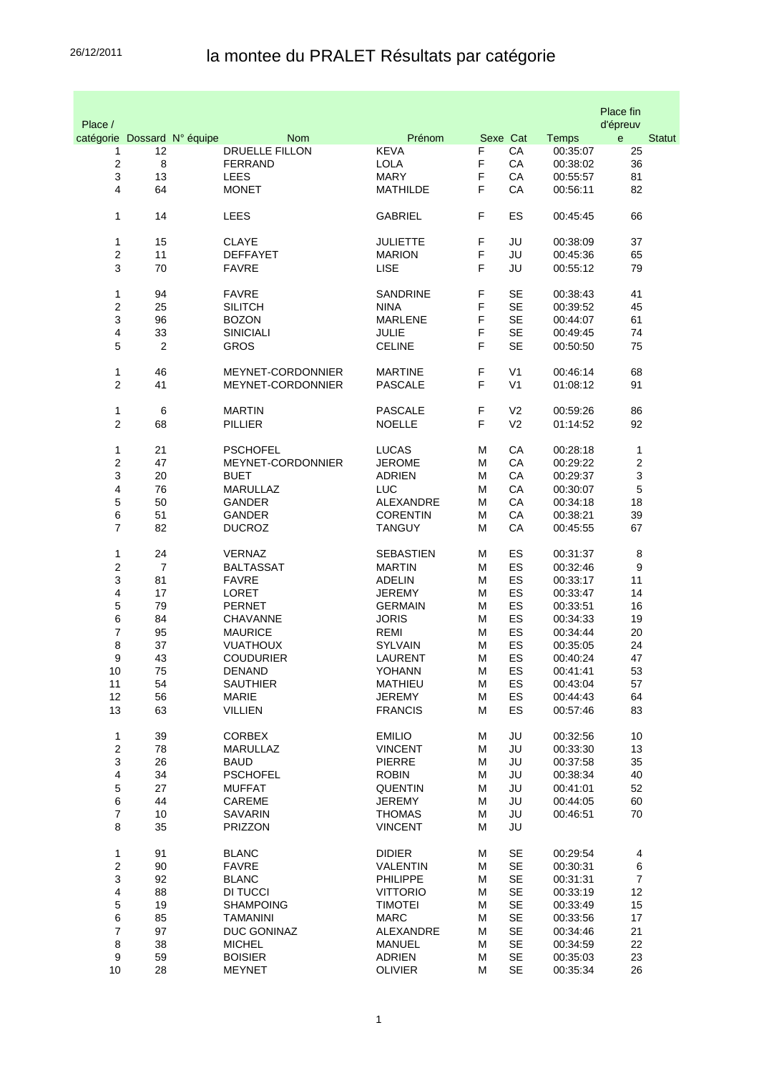## 26/12/2011 la montee du PRALET Résultats par catégorie

|                |                             |                                |                                 |        |                |                      | Place fin                |               |
|----------------|-----------------------------|--------------------------------|---------------------------------|--------|----------------|----------------------|--------------------------|---------------|
| Place /        | catégorie Dossard N° équipe | <b>Nom</b>                     | Prénom                          |        | Sexe Cat       | <b>Temps</b>         | d'épreuv<br>$\mathbf{e}$ | <b>Statut</b> |
| 1              | 12                          | <b>DRUELLE FILLON</b>          | <b>KEVA</b>                     | F      | CA             | 00:35:07             | 25                       |               |
| 2              | 8                           | <b>FERRAND</b>                 | <b>LOLA</b>                     | F      | CA             | 00:38:02             | 36                       |               |
| 3              | 13                          | LEES                           | <b>MARY</b>                     | F      | CA             | 00:55:57             | 81                       |               |
| 4              | 64                          | <b>MONET</b>                   | <b>MATHILDE</b>                 | F      | CA             | 00:56:11             | 82                       |               |
|                |                             |                                |                                 |        |                |                      |                          |               |
| 1              | 14                          | <b>LEES</b>                    | <b>GABRIEL</b>                  | F      | ES             | 00:45:45             | 66                       |               |
| 1              | 15                          | <b>CLAYE</b>                   | <b>JULIETTE</b>                 | F      | JU             | 00:38:09             | 37                       |               |
| 2              | 11                          | <b>DEFFAYET</b>                | <b>MARION</b>                   | F      | JU             | 00:45:36             | 65                       |               |
| 3              | 70                          | <b>FAVRE</b>                   | <b>LISE</b>                     | F      | JU             | 00:55:12             | 79                       |               |
|                |                             |                                |                                 |        |                |                      |                          |               |
| 1              | 94                          | <b>FAVRE</b>                   | <b>SANDRINE</b>                 | F      | <b>SE</b>      | 00:38:43             | 41                       |               |
| 2              | 25                          | <b>SILITCH</b>                 | <b>NINA</b>                     | F      | <b>SE</b>      | 00:39:52             | 45                       |               |
| 3              | 96                          | <b>BOZON</b>                   | <b>MARLENE</b>                  | F      | <b>SE</b>      | 00:44:07             | 61                       |               |
| 4              | 33                          | <b>SINICIALI</b>               | <b>JULIE</b>                    | F      | <b>SE</b>      | 00:49:45             | 74                       |               |
| 5              | 2                           | <b>GROS</b>                    | <b>CELINE</b>                   | F      | <b>SE</b>      | 00:50:50             | 75                       |               |
| 1              | 46                          | MEYNET-CORDONNIER              | <b>MARTINE</b>                  | F      | V <sub>1</sub> | 00:46:14             | 68                       |               |
| 2              | 41                          | MEYNET-CORDONNIER              | <b>PASCALE</b>                  | F      | V <sub>1</sub> | 01:08:12             | 91                       |               |
|                |                             |                                |                                 |        |                |                      |                          |               |
| 1              | $\,6$                       | <b>MARTIN</b>                  | <b>PASCALE</b>                  | F      | V <sub>2</sub> | 00:59:26             | 86                       |               |
| 2              | 68                          | <b>PILLIER</b>                 | <b>NOELLE</b>                   | F      | V <sub>2</sub> | 01:14:52             | 92                       |               |
|                |                             |                                |                                 |        |                |                      |                          |               |
| 1              | 21                          | <b>PSCHOFEL</b>                | <b>LUCAS</b>                    | M      | CA             | 00:28:18             | 1                        |               |
| $\overline{c}$ | 47                          | MEYNET-CORDONNIER              | <b>JEROME</b>                   | M      | CA             | 00:29:22             | 2                        |               |
| 3              | 20                          | <b>BUET</b>                    | <b>ADRIEN</b>                   | М      | CA             | 00:29:37             | 3                        |               |
| 4              | 76                          | <b>MARULLAZ</b>                | <b>LUC</b>                      | М      | CA             | 00:30:07             | 5                        |               |
| 5              | 50                          | GANDER                         | ALEXANDRE                       | М      | CA             | 00:34:18             | 18                       |               |
| 6              | 51                          | <b>GANDER</b>                  | <b>CORENTIN</b>                 | М      | CA             | 00:38:21             | 39                       |               |
| $\overline{7}$ | 82                          | <b>DUCROZ</b>                  | <b>TANGUY</b>                   | М      | CA             | 00:45:55             | 67                       |               |
| 1              | 24                          | <b>VERNAZ</b>                  | SEBASTIEN                       | M      | ES             | 00:31:37             | $\,$ 8 $\,$              |               |
| 2              | $\overline{7}$              | <b>BALTASSAT</b>               | <b>MARTIN</b>                   | M      | ES             | 00:32:46             | 9                        |               |
| 3              | 81                          | <b>FAVRE</b>                   | <b>ADELIN</b>                   | М      | ES             | 00:33:17             | 11                       |               |
| 4              | 17                          | LORET                          | <b>JEREMY</b>                   | М      | ES             | 00:33:47             | 14                       |               |
| 5              | 79                          | <b>PERNET</b>                  | <b>GERMAIN</b>                  | М      | ES             | 00:33:51             | 16                       |               |
| 6              | 84                          | <b>CHAVANNE</b>                | <b>JORIS</b>                    | М      | ES             | 00:34:33             | 19                       |               |
| 7              | 95                          | <b>MAURICE</b>                 | REMI                            | М      | ES             | 00:34:44             | 20                       |               |
| 8              | 37                          | <b>VUATHOUX</b>                | <b>SYLVAIN</b>                  | М      | ES             | 00:35:05             | 24                       |               |
| 9              | 43                          | <b>COUDURIER</b>               | LAURENT                         | M      | ES             | 00:40:24             | 47                       |               |
| 10             | 75                          | DENAND                         | YOHANN                          | M      | ES             | 00:41:41             | 53                       |               |
| 11             | 54                          | <b>SAUTHIER</b>                | <b>MATHIEU</b>                  | M      | <b>ES</b>      | 00:43:04             | 57                       |               |
| 12<br>13       | 56<br>63                    | <b>MARIE</b><br><b>VILLIEN</b> | <b>JEREMY</b><br><b>FRANCIS</b> | M<br>M | ES<br>ES       | 00:44:43<br>00:57:46 | 64<br>83                 |               |
|                |                             |                                |                                 |        |                |                      |                          |               |
| 1              | 39                          | <b>CORBEX</b>                  | <b>EMILIO</b>                   | м      | JU             | 00:32:56             | 10                       |               |
| $\overline{c}$ | 78                          | <b>MARULLAZ</b>                | <b>VINCENT</b>                  | м      | JU             | 00:33:30             | 13                       |               |
| 3              | 26                          | <b>BAUD</b>                    | <b>PIERRE</b>                   | M      | JU             | 00:37:58             | 35                       |               |
| 4              | 34                          | <b>PSCHOFEL</b>                | <b>ROBIN</b>                    | M      | JU             | 00:38:34             | 40                       |               |
| 5              | 27                          | <b>MUFFAT</b>                  | <b>QUENTIN</b>                  | М      | JU             | 00:41:01             | 52                       |               |
| 6              | 44                          | CAREME                         | <b>JEREMY</b>                   | м      | JU             | 00:44:05             | 60                       |               |
| $\overline{7}$ | 10                          | <b>SAVARIN</b>                 | <b>THOMAS</b>                   | М      | JU             | 00:46:51             | 70                       |               |
| 8              | 35                          | PRIZZON                        | <b>VINCENT</b>                  | М      | JU             |                      |                          |               |
| 1              | 91                          | <b>BLANC</b>                   | <b>DIDIER</b>                   | м      | <b>SE</b>      | 00:29:54             | $\overline{\mathbf{4}}$  |               |
| $\overline{c}$ | 90                          | <b>FAVRE</b>                   | <b>VALENTIN</b>                 | м      | <b>SE</b>      | 00:30:31             | 6                        |               |
| 3              | 92                          | <b>BLANC</b>                   | <b>PHILIPPE</b>                 | М      | <b>SE</b>      | 00:31:31             | $\overline{7}$           |               |
| 4              | 88                          | DI TUCCI                       | <b>VITTORIO</b>                 | M      | <b>SE</b>      | 00:33:19             | 12                       |               |
| 5              | 19                          | <b>SHAMPOING</b>               | <b>TIMOTEI</b>                  | M      | <b>SE</b>      | 00:33:49             | 15                       |               |
| 6              | 85                          | <b>TAMANINI</b>                | <b>MARC</b>                     | М      | <b>SE</b>      | 00:33:56             | 17                       |               |
| $\overline{7}$ | 97                          | DUC GONINAZ                    | ALEXANDRE                       | М      | <b>SE</b>      | 00:34:46             | 21                       |               |
| $\bf 8$        | 38                          | <b>MICHEL</b>                  | <b>MANUEL</b>                   | М      | <b>SE</b>      | 00:34:59             | 22                       |               |
| 9              | 59                          | <b>BOISIER</b>                 | <b>ADRIEN</b>                   | М      | <b>SE</b>      | 00:35:03             | 23                       |               |
| 10             | 28                          | <b>MEYNET</b>                  | <b>OLIVIER</b>                  | м      | SE             | 00:35:34             | 26                       |               |